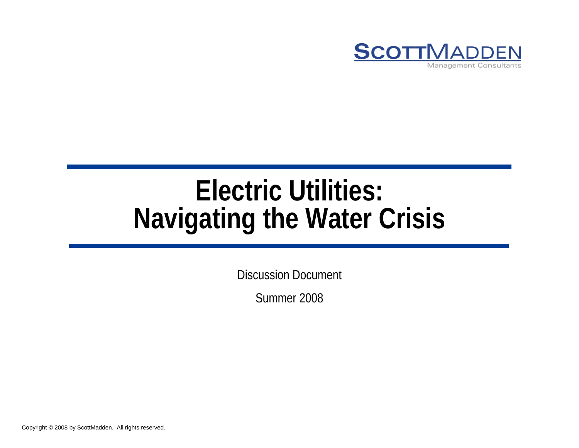

# **Electric Utilities: Navigating the Water Crisis**

Discussion Document

Summer 2008

Copyright © 2008 by ScottMadden. All rights reserved.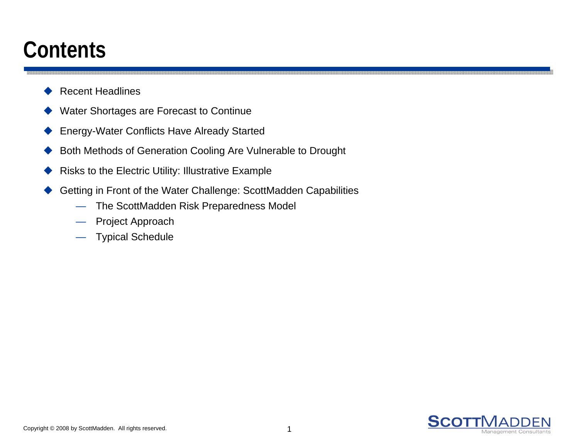### **Contents**

- ♦ Recent Headlines
- ♦ Water Shortages are Forecast to Continue
- ♦ Energy-Water Conflicts Have Already Started
- ♦ Both Methods of Generation Cooling Are Vulnerable to Drought
- ♦ Risks to the Electric Utility: Illustrative Example
- ♦ Getting in Front of the Water Challenge: ScottMadden Capabilities
	- —The ScottMadden Risk Preparedness Model
	- Project Approach
	- Typical Schedule

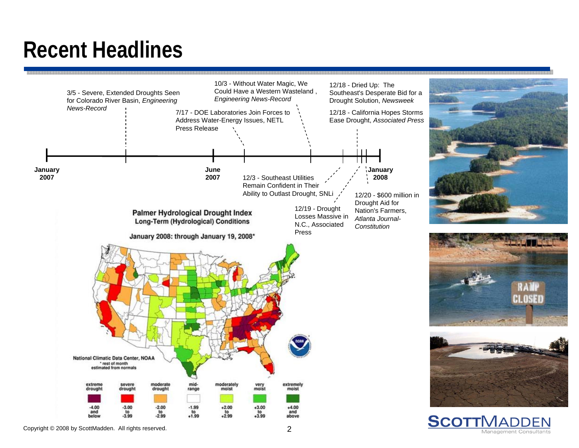### **Recent Headlines**



Management Consultants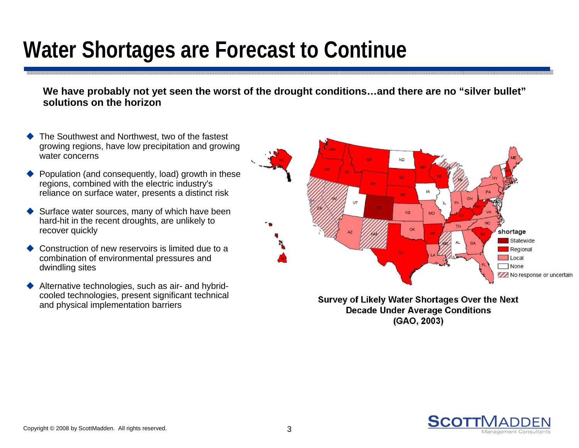## **Water Shortages are Forecast to Continue**

**We have probably not yet seen the worst of the drought conditions…and there are no "silver bullet" solutions on the horizon**

- ♦ The Southwest and Northwest, two of the fastest growing regions, have low precipitation and growing water concerns
- ♦ Population (and consequently, load) growth in these regions, combined with the electric industry's reliance on surface water, presents a distinct risk
- ♦ Surface water sources, many of which have been hard-hit in the recent droughts, are unlikely to recover quickly
- ♦ Construction of new reservoirs is limited due to a combination of environmental pressures and dwindling sites
- ♦ Alternative technologies, such as air- and hybridcooled technologies, present significant technical and physical implementation barriers



**Survey of Likely Water Shortages Over the Next Decade Under Average Conditions** (GAO, 2003)

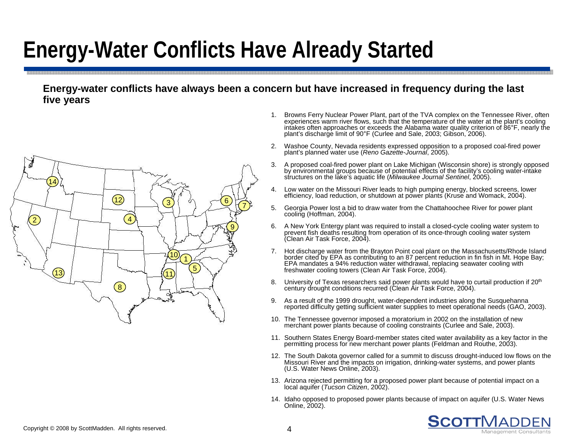## **Energy-Water Conflicts Have Already Started**

**Energy-water conflicts have always been a concern but have increased in frequency during the last five years**



- 1. Browns Ferry Nuclear Power Plant, part of the TVA complex on the Tennessee River, often experiences warm river flows, such that the temperature of the water at the plant's cooling intakes often approaches or exceeds the Alabama water quality criterion of  $86^\circ$ F, nearly the plant's discharge limit of 90°F (Curlee and Sale, 2003; Gibson, 2006).
- 2. Washoe County, Nevada residents expressed opposition to a proposed coal-fired power plant's planned water use (*Reno Gazette-Journal*, 2005).
- 3. A proposed coal-fired power plant on Lake Michigan (Wisconsin shore) is strongly opposed by environmental groups because of potential effects of the facility's cooling water-intake structures on the lake's aquatic life (*Milwaukee Journal Sentinel*, 2005).
- 4. Low water on the Missouri River leads to high pumping energy, blocked screens, lower efficiency, load reduction, or shutdown at power plants (Kruse and Womack, 2004).
- 5. Georgia Power lost a bid to draw water from the Chattahoochee River for power plant cooling (Hoffman, 2004).
- 6. A New York Entergy plant was required to install a closed-cycle cooling water system to prevent fish deaths resulting from operation of its once-through cooling water system (Clean Air Task Force, 2004).
- 7. Hot discharge water from the Brayton Point coal plant on the Massachusetts/Rhode Island border cited by EPA as contributing to an 87 percent reduction in fin fish in Mt. Hope Bay; EPA mandates a 94% reduction water withdrawal, replacing seawater cooling with freshwater cooling towers (Clean Air Task Force, 2004).
- 8. University of Texas researchers said power plants would have to curtail production if 20<sup>th</sup> century drought conditions recurred (Clean Air Task Force, 2004).
- 9. As a result of the 1999 drought, water-dependent industries along the Susquehanna reported difficulty getting sufficient water supplies to meet operational needs (GAO, 2003).
- 10. The Tennessee governor imposed a moratorium in 2002 on the installation of new merchant power plants because of cooling constraints (Curlee and Sale, 2003).
- 11. Southern States Energy Board-member states cited water availability as a key factor in the permitting process for new merchant power plants (Feldman and Routhe, 2003).
- 12. The South Dakota governor called for a summit to discuss drought-induced low flows on the Missouri River and the impacts on irrigation, drinking-water systems, and power plants (U.S. Water News Online, 2003).
- 13. Arizona rejected permitting for a proposed power plant because of potential impact on a local aquifer (*Tucson Citizen*, 2002).
- 14. Idaho opposed to proposed power plants because of impact on aquifer (U.S. Water News Online, 2002).

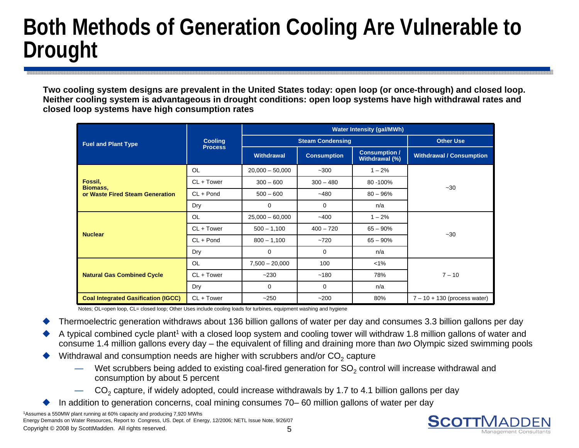### **Both Methods of Generation Cooling Are Vulnerable to Drought**

**Two cooling system designs are prevalent in the United States today: open loop (or once-through) and closed loop. Neither cooling system is advantageous in drought conditions: open loop systems have high withdrawal rates and closed loop systems have high consumption rates**

| <b>Fuel and Plant Type</b>                                    | <b>Cooling</b><br><b>Process</b> | <b>Water Intensity (gal/MWh)</b> |                    |                                               |                                 |  |  |  |
|---------------------------------------------------------------|----------------------------------|----------------------------------|--------------------|-----------------------------------------------|---------------------------------|--|--|--|
|                                                               |                                  |                                  | <b>Other Use</b>   |                                               |                                 |  |  |  |
|                                                               |                                  | <b>Withdrawal</b>                | <b>Consumption</b> | <b>Consumption /</b><br><b>Withdrawal (%)</b> | <b>Withdrawal / Consumption</b> |  |  |  |
| Fossil,<br><b>Biomass,</b><br>or Waste Fired Steam Generation | <b>OL</b>                        | $20,000 - 50,000$                | $-300$             | $1 - 2%$                                      | $-30$                           |  |  |  |
|                                                               | $CL + Tower$                     | $300 - 600$                      | $300 - 480$        | 80 - 100%                                     |                                 |  |  |  |
|                                                               | $CL + Pond$                      | $500 - 600$                      | $-480$             | $80 - 96%$                                    |                                 |  |  |  |
|                                                               | Dry                              | 0                                | $\mathbf 0$        | n/a                                           |                                 |  |  |  |
| <b>Nuclear</b>                                                | <b>OL</b>                        | $25,000 - 60,000$                | $-400$             | $1 - 2%$                                      | $-30$                           |  |  |  |
|                                                               | $CL + Tower$                     | $500 - 1,100$                    | $400 - 720$        | $65 - 90\%$                                   |                                 |  |  |  |
|                                                               | $CL +$ Pond                      | $800 - 1,100$                    | $-720$             | $65 - 90\%$                                   |                                 |  |  |  |
|                                                               | Dry                              | 0                                | 0                  | n/a                                           |                                 |  |  |  |
| <b>Natural Gas Combined Cycle</b>                             | <b>OL</b>                        | $7,500 - 20,000$                 | 100                | $1\%$                                         | $7 - 10$                        |  |  |  |
|                                                               | $CL + Tower$                     | $-230$                           | ~180               | 78%                                           |                                 |  |  |  |
|                                                               | Dry                              | 0                                | 0                  | n/a                                           |                                 |  |  |  |
| <b>Coal Integrated Gasification (IGCC)</b>                    | $CL + Tower$                     | $-250$                           | $-200$             | 80%                                           | $7 - 10 + 130$ (process water)  |  |  |  |

Notes; OL=open loop, CL= closed loop; Other Uses include cooling loads for turbines, equipment washing and hygiene

- ♦ Thermoelectric generation withdraws about 136 billion gallons of water per day and consumes 3.3 billion gallons per day
- ♦ A typical combined cycle plant<sup>1</sup> with a closed loop system and cooling tower will withdraw 1.8 million gallons of water and consume 1.4 million gallons every day – the equivalent of filling and draining more than *two* Olympic sized swimming pools
- ♦  $\blacklozenge$  Withdrawal and consumption needs are higher with scrubbers and/or  $\mathsf{CO}_2$  capture
	- Wet scrubbers being added to existing coal-fired generation for SO<sub>2</sub> control will increase withdrawal and consumption by about 5 percent
	- $\quad \quad \quad \text{CO}_2$  capture, if widely adopted, could increase withdrawals by 1.7 to 4.1 billion gallons per day
- ♦ In addition to generation concerns, coal mining consumes 70– 60 million gallons of water per day

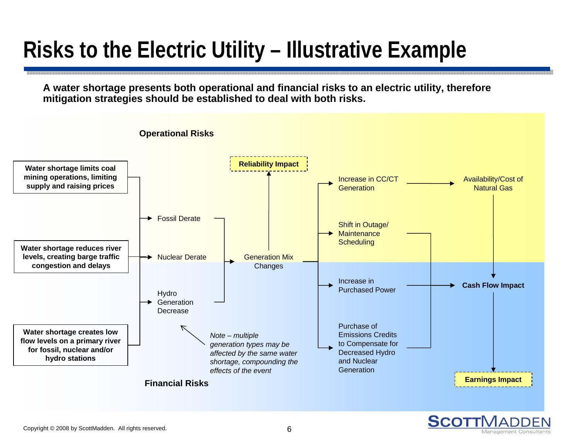## **Risks to the Electric Utility – Illustrative Example**

**A water shortage presents both operational and financial risks to an electric utility, therefore mitigation strategies should be established to deal with both risks.** 



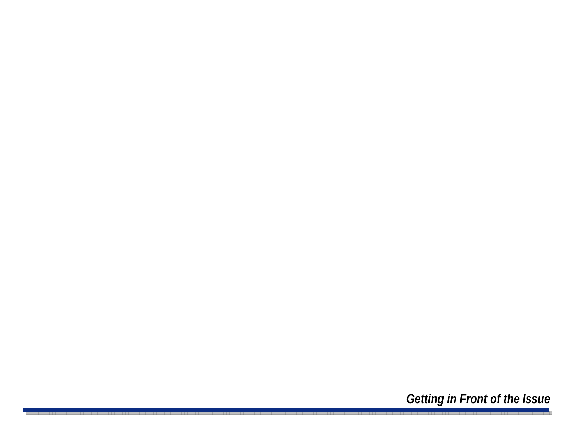*Getting in Front of the Issue*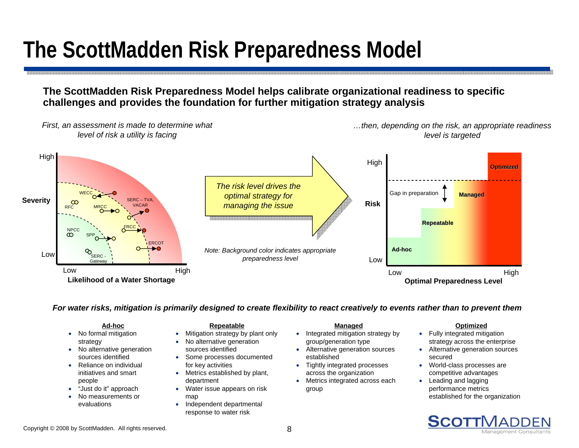## **The ScottMadden Risk Preparedness Model**

### **The ScottMadden Risk Preparedness Model helps calibrate organizational readiness to specific challenges and provides the foundation for further mitigation strategy analysis**



*For water risks, mitigation is primarily designed to create flexibility to react creatively to events rather than to prevent them*

### **Ad-hoc**

- No formal mitigation strategy
- No alternative generation sources identified
- • Reliance on individual initiatives and smart people
- •"Just do it" approach
- No measurements or evaluations

### **Repeatable**

- •Mitigation strategy by plant only
- • No alternative generation sources identified
- • Some processes documented for key activities
- Metrics established by plant, department
- • Water issue appears on risk map
- • Independent departmental response to water risk

#### **Managed**

- Integrated mitigation strategy by group/generation type
- Alternative generation sources established
- • Tightly integrated processes across the organization
- • Metrics integrated across each group

### **Optimized**

- Fully integrated mitigation strategy across the enterprise
- Alternative generation sources secured
- World-class processes are competitive advantages
- Leading and lagging performance metrics established for the organization

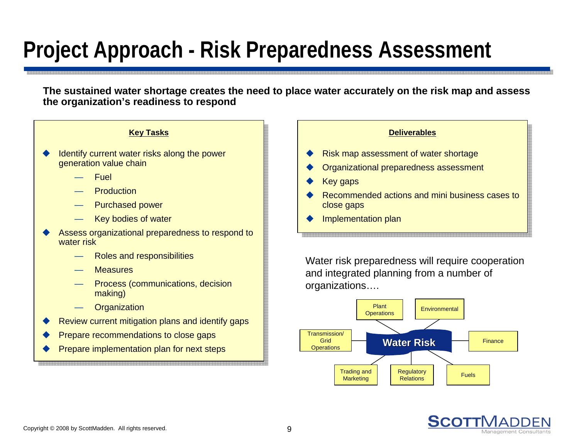## **Project Approach - Risk Preparedness Assessment**

**The sustained water shortage creates the need to place water accurately on the risk map and assess the organization's readiness to respond**





Water risk preparedness will require cooperation and integrated planning from a number of organizations….



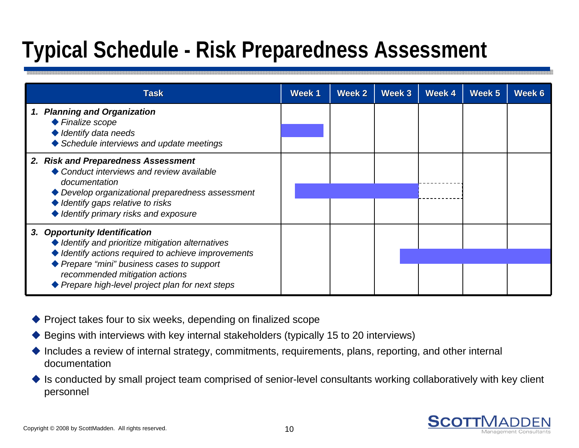## **Typical Schedule - Risk Preparedness Assessment**

| <b>Task</b>                                                                                                                                                                                                                                                                   | <b>Week1</b> | Week 2 | Week 3 | Week 4 | <b>Week 5</b> | Week 6 |
|-------------------------------------------------------------------------------------------------------------------------------------------------------------------------------------------------------------------------------------------------------------------------------|--------------|--------|--------|--------|---------------|--------|
| 1. Planning and Organization<br>◆ Finalize scope<br>♦ Identify data needs<br>♦ Schedule interviews and update meetings                                                                                                                                                        |              |        |        |        |               |        |
| 2. Risk and Preparedness Assessment<br>Conduct interviews and review available<br>documentation<br>◆ Develop organizational preparedness assessment<br>♦ Identify gaps relative to risks<br>♦ Identify primary risks and exposure                                             |              |        |        |        |               |        |
| 3. Opportunity Identification<br>♦ Identify and prioritize mitigation alternatives<br>♦ Identify actions required to achieve improvements<br>◆ Prepare "mini" business cases to support<br>recommended mitigation actions<br>◆ Prepare high-level project plan for next steps |              |        |        |        |               |        |

- ◆ Project takes four to six weeks, depending on finalized scope
- Begins with interviews with key internal stakeholders (typically 15 to 20 interviews)
- ◆ Includes a review of internal strategy, commitments, requirements, plans, reporting, and other internal documentation
- ♦ Is conducted by small project team comprised of senior-level consultants working collaboratively with key client personnel